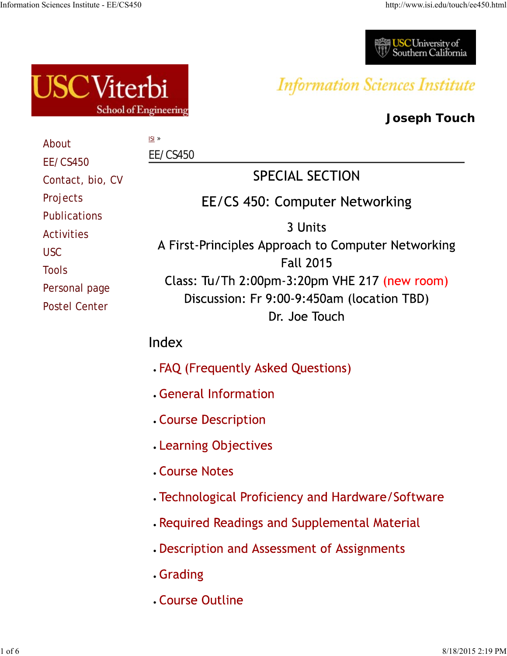



# **Information Sciences Institute**

# **Joseph Touch**

| About                                                                                                           | $ISI \gg$                                                                                                                                                                                            |  |  |  |
|-----------------------------------------------------------------------------------------------------------------|------------------------------------------------------------------------------------------------------------------------------------------------------------------------------------------------------|--|--|--|
| <b>EE/CS450</b>                                                                                                 | <b>EE/CS450</b>                                                                                                                                                                                      |  |  |  |
| Contact, bio, CV                                                                                                | <b>SPECIAL SECTION</b>                                                                                                                                                                               |  |  |  |
| Projects                                                                                                        | EE/CS 450: Computer Networking                                                                                                                                                                       |  |  |  |
| <b>Publications</b><br><b>Activities</b><br><b>USC</b><br><b>Tools</b><br>Personal page<br><b>Postel Center</b> | 3 Units<br>A First-Principles Approach to Computer Networking<br><b>Fall 2015</b><br>Class: Tu/Th $2:00$ pm-3:20pm VHE 217 (new room)<br>Discussion: Fr 9:00-9:450am (location TBD)<br>Dr. Joe Touch |  |  |  |
|                                                                                                                 | Index                                                                                                                                                                                                |  |  |  |
|                                                                                                                 | . FAQ (Frequently Asked Questions)                                                                                                                                                                   |  |  |  |
|                                                                                                                 | General Information                                                                                                                                                                                  |  |  |  |
|                                                                                                                 | <b>. Course Description</b>                                                                                                                                                                          |  |  |  |
|                                                                                                                 | . Learning Objectives                                                                                                                                                                                |  |  |  |
|                                                                                                                 | <b>Course Notes</b>                                                                                                                                                                                  |  |  |  |
|                                                                                                                 | • Technological Proficiency and Hardware/Software                                                                                                                                                    |  |  |  |
|                                                                                                                 | . Required Readings and Supplemental Material                                                                                                                                                        |  |  |  |
|                                                                                                                 | Description and Assessment of Assignments                                                                                                                                                            |  |  |  |
|                                                                                                                 | . Grading                                                                                                                                                                                            |  |  |  |
|                                                                                                                 | <b>Course Outline</b>                                                                                                                                                                                |  |  |  |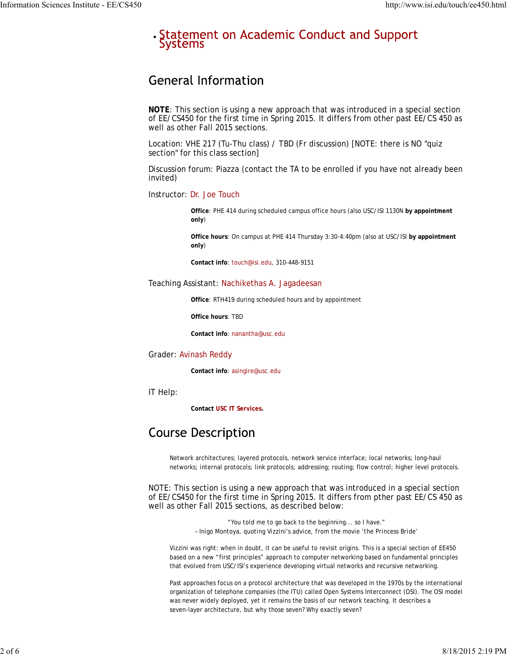#### · Statement on Academic Conduct and Support **Systems**

### **General Information**

**NOTE**: This section is using a new approach that was introduced in a special section of EE/CS450 for the first time in Spring 2015. It differs from other past EE/CS 450 as well as other Fall 2015 sections.

Location: VHE 217 (Tu-Thu class) / TBD (Fr discussion) [NOTE: there is NO "quiz section" for this class section]

Discussion forum: Piazza (contact the TA to be enrolled if you have not already been invited)

Instructor: Dr. Joe Touch

**Office**: PHE 414 during scheduled campus office hours (also USC/ISI 1130N **by appointment only**)

**Office hours**: On campus at PHE 414 Thursday 3:30-4:40pm (also at USC/ISI **by appointment only**)

**Contact info**: touch@isi.edu, 310-448-9151

#### Teaching Assistant: Nachikethas A. Jagadeesan

**Office**: RTH419 during scheduled hours and by appointment

**Office hours**: TBD

**Contact info**: nanantha@usc.edu

#### Grader: Avinash Reddy

**Contact info**: asingire@usc.edu

IT Help:

**Contact USC IT Services.**

### **Course Description**

Network architectures; layered protocols, network service interface; local networks; long-haul networks; internal protocols; link protocols; addressing; routing; flow control; higher level protocols.

NOTE: This section is using a new approach that was introduced in a special section of EE/CS450 for the first time in Spring 2015. It differs from pther past EE/CS 450 as well as other Fall 2015 sections, as described below:

> *"You told me to go back to the beginning... so I have." – Inigo Montoya, quoting Vizzini's advice, from the movie 'the Princess Bride'*

Vizzini was right: when in doubt, it can be useful to revisit origins. This is a special section of EE450 based on a new "first principles" approach to computer networking based on fundamental principles that evolved from USC/ISI's experience developing virtual networks and recursive networking.

Past approaches focus on a protocol architecture that was developed in the 1970s by the international organization of telephone companies (the ITU) called Open Systems Interconnect (OSI). The OSI model was never widely deployed, yet it remains the basis of our network teaching. It describes a seven-layer architecture, but why those seven? Why exactly seven?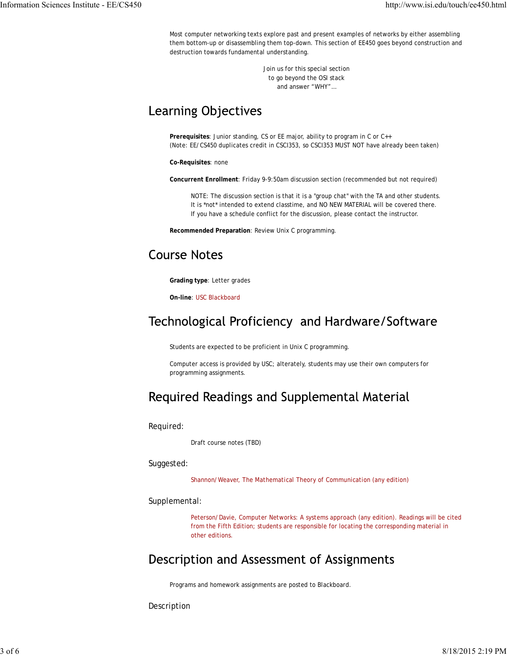Most computer networking texts explore past and present examples of networks by either assembling them bottom-up or disassembling them top-down. This section of EE450 goes beyond construction and destruction towards fundamental understanding.

> Join us for this special section to go beyond the OSI stack and answer "WHY"…

### **Learning Objectives**

**Prerequisites**: Junior standing, CS or EE major, ability to program in C or C++ (Note: EE/CS450 duplicates credit in CSCI353, so CSCI353 MUST NOT have already been taken)

**Co-Requisites**: none

**Concurrent Enrollment**: Friday 9-9:50am discussion section (recommended but not required)

NOTE: The discussion section is that it is a "group chat" with the TA and other students. It is \*not\* intended to extend classtime, and NO NEW MATERIAL will be covered there. If you have a schedule conflict for the discussion, please contact the instructor.

**Recommended Preparation**: Review Unix C programming.

# **Course Notes**

**Grading type**: Letter grades

**On-line**: USC Blackboard

### Technological Proficiency and Hardware/Software

Students are expected to be proficient in Unix C programming.

Computer access is provided by USC; alterately, students may use their own computers for programming assignments.

# Required Readings and Supplemental Material

Required:

Draft course notes (TBD)

Suggested:

Shannon/Weaver, *The Mathematical Theory of Communication* (any edition)

#### Supplemental:

Peterson/Davie, *Computer Networks: A systems approach* (any edition). Readings will be cited from the Fifth Edition; students are responsible for locating the corresponding material in other editions.

### Description and Assessment of Assignments

Programs and homework assignments are posted to Blackboard.

Description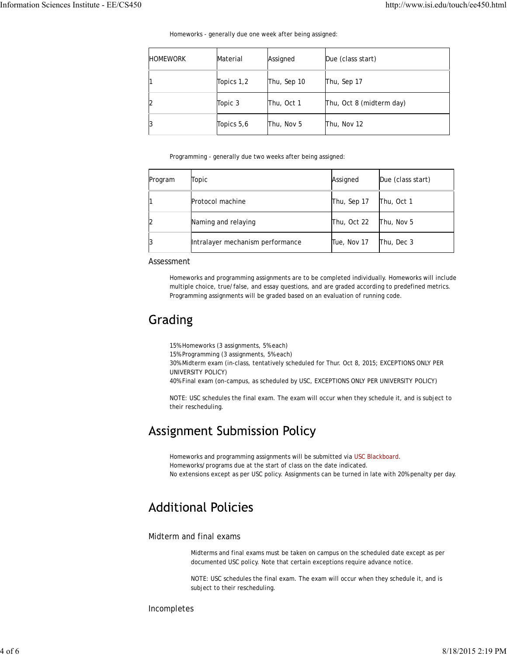Homeworks - generally due one week after being assigned:

| <b>HOMEWORK</b> | Material   | Assigned    | Due (class start)<br>Thu, Sep 17 |  |
|-----------------|------------|-------------|----------------------------------|--|
|                 | Topics 1,2 | Thu, Sep 10 |                                  |  |
|                 | Topic 3    | Thu, Oct 1  | Thu, Oct 8 (midterm day)         |  |
|                 | Topics 5,6 | Thu, Nov 5  | Thu, Nov 12                      |  |

Programming - generally due two weeks after being assigned:

| Program | Topic                            | Assigned    | Due (class start) |
|---------|----------------------------------|-------------|-------------------|
|         | Protocol machine                 | Thu, Sep 17 | Thu, Oct 1        |
|         | Naming and relaying              | Thu, Oct 22 | Thu, Nov 5        |
|         | Intralayer mechanism performance | Tue, Nov 17 | Thu, Dec 3        |

#### Assessment

Homeworks and programming assignments are to be completed individually. Homeworks will include multiple choice, true/false, and essay questions, and are graded according to predefined metrics. Programming assignments will be graded based on an evaluation of running code.

### Grading

15% Homeworks (3 assignments, 5% each)

15% Programming (3 assignments, 5% each)

30% Midterm exam (in-class, tentatively scheduled for Thur. Oct 8, 2015; EXCEPTIONS ONLY PER UNIVERSITY POLICY)

40% Final exam (on-campus, as scheduled by USC, EXCEPTIONS ONLY PER UNIVERSITY POLICY)

NOTE: USC schedules the final exam. The exam will occur when they schedule it, and is subject to their rescheduling.

### **Assignment Submission Policy**

Homeworks and programming assignments will be submitted via USC Blackboard. Homeworks/programs due at the start of class on the date indicated. No extensions except as per USC policy. Assignments can be turned in late with 20% penalty per day.

### **Additional Policies**

#### Midterm and final exams

Midterms and final exams must be taken on campus on the scheduled date except as per documented USC policy. Note that certain exceptions require advance notice.

NOTE: USC schedules the final exam. The exam will occur when they schedule it, and is subject to their rescheduling.

Incompletes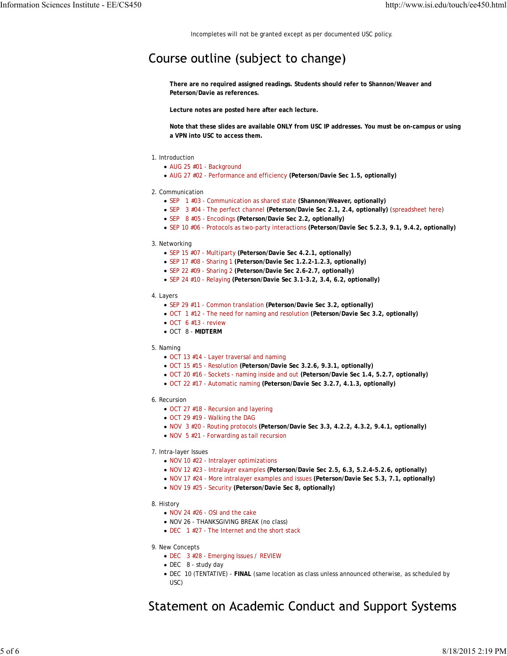Incompletes will not be granted except as per documented USC policy.

#### Course outline (subject to change)

**There are no required assigned readings. Students should refer to Shannon/Weaver and Peterson/Davie as references.**

**Lecture notes are posted here after each lecture.**

**Note that these slides are available ONLY from USC IP addresses. You must be on-campus or using a VPN into USC to access them.**

- 1. Introduction
	- AUG 25 #01 Background
	- AUG 27 #02 Performance and efficiency **(Peterson/Davie Sec 1.5, optionally)**
- 2. Communication
	- SEP 1 #03 Communication as shared state **(Shannon/Weaver, optionally)**
	- SEP 3 #04 The perfect channel **(Peterson/Davie Sec 2.1, 2.4, optionally)** (spreadsheet here)
	- SEP 8 #05 Encodings **(Peterson/Davie Sec 2.2, optionally)**
	- SEP 10 #06 Protocols as two-party interactions **(Peterson/Davie Sec 5.2.3, 9.1, 9.4.2, optionally)**
- 3. Networking
	- SEP 15 #07 Multiparty **(Peterson/Davie Sec 4.2.1, optionally)**
	- SEP 17 #08 Sharing 1 **(Peterson/Davie Sec 1.2.2-1.2.3, optionally)**
	- SEP 22 #09 Sharing 2 **(Peterson/Davie Sec 2.6-2.7, optionally)**
	- SEP 24 #10 Relaying **(Peterson/Davie Sec 3.1-3.2, 3.4, 6.2, optionally)**
- 4. Layers
	- SEP 29 #11 Common translation **(Peterson/Davie Sec 3.2, optionally)**
	- OCT 1 #12 The need for naming and resolution **(Peterson/Davie Sec 3.2, optionally)**
	- $\bullet$  OCT 6 #13 review
	- OCT 8 **MIDTERM**
- 5. Naming
	- OCT 13 #14 Layer traversal and naming
	- OCT 15 #15 Resolution **(Peterson/Davie Sec 3.2.6, 9.3.1, optionally)**
	- OCT 20 #16 Sockets naming inside and out **(Peterson/Davie Sec 1.4, 5.2.7, optionally)**
	- OCT 22 #17 Automatic naming **(Peterson/Davie Sec 3.2.7, 4.1.3, optionally)**
- 6. Recursion
	- OCT 27 #18 Recursion and layering
	- OCT 29 #19 Walking the DAG
	- NOV 3 #20 Routing protocols **(Peterson/Davie Sec 3.3, 4.2.2, 4.3.2, 9.4.1, optionally)**
	- NOV 5 #21 Forwarding as tail recursion
- 7. Intra-layer Issues
	- NOV 10 #22 Intralayer optimizations
	- NOV 12 #23 Intralayer examples **(Peterson/Davie Sec 2.5, 6.3, 5.2.4-5.2.6, optionally)**
	- NOV 17 #24 More intralayer examples and issues **(Peterson/Davie Sec 5.3, 7.1, optionally)**
	- NOV 19 #25 Security **(Peterson/Davie Sec 8, optionally)**
- 8. History
	- NOV 24 #26 OSI and the cake
	- NOV 26 THANKSGIVING BREAK (no class)
	- DEC 1 #27 The Internet and the short stack
- 9. New Concepts
	- DEC 3 #28 Emerging Issues / REVIEW
	- DEC 8 study day
	- DEC 10 (TENTATIVE) **FINAL** (same location as class unless announced otherwise, as scheduled by USC)

#### Statement on Academic Conduct and Support Systems